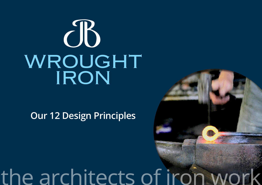# $\partial B$ WROUGHT IRON

### **Our 12 Design Principles**

## the architects of iron wo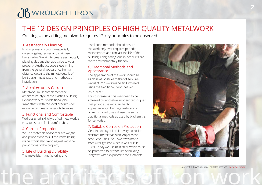## [WROUGHT IRON](http://www.jbwroughtiron.com.au)

### THE 12 DESIGN PRINCIPLES OF HIGH QUALITY METALWORK

Creating value adding metalwork requires 12 key principles to be observed.

#### 1. Aesthetically Pleasing

First impressions count – especially on entry gates, fences and staircase balustrades. We aim to create aesthetically pleasing designs that add value to your property. Aesthetics covers everything from the general appearance from a distance down to the minute details of joint design, neatness and methods of installation.

#### 2. Architecturally Correct

Metalwork must complement the architectural style of the existing building. Exterior work must additionally be sympathetic with the local precinct – for example on rows of inner city terraces.

#### 3. Functional and Comfortable

Well designed, skilfully crafted metalwork is easy to use and feels comfortable.

#### 4. Correct Proportions

We use materials of appropriate weight and proportions to suit the items being made, whilst also blending well with the proportions of the property.

5. Life of Building Durability The materials, manufacturing and

installation methods should ensure the work only ever requires periodic maintenance and can last the life of the building. Long lasting, quality products are more environmentally friendly.

#### 6. Traditional Methods and Appearance

The appearance of the work should be as close as possible to that of genuine wrought iron work made and installed using the traditional, centuries old techniques.

For cost reasons, this may need to be achieved by innovative, modern techniques that provide the most authentic appearance. On heritage restoration projects though, we still use the same traditional methods as used by blacksmiths for centuries.

#### 7. Suitable Corrosion Protection

Genuine wrought iron is a very corrosion resistant metal that is no longer mass produced. The Eiffel Tower was made from wrought iron when it was built in 1889. Today we use mild steel, which must be protected to provide life of building longevity, when exposed to the elements.



Copyright © JB Wrought Iron – All Rights Reserved – [www.jbwi.com.au](http://www.jbwroughtiron.com.au) the architects of iron Works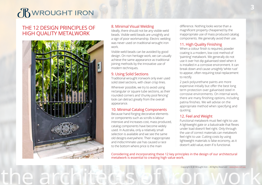## [WROUGHT IRON](http://www.jbwroughtiron.com.au)

#### THE 12 DESIGN PRINCIPLES OF HIGH QUALITY METALWORK



#### 8. Minimal Visual Welding

Ideally, there should not be any visible weld beads. Visible weld beads are unsightly and a sign of poor workmanship. Electric welding was never used on traditional wrought iron work.

Visible weld beads can be avoided by good design. On non heritage work, we can usually achieve the same appearance as traditional joining methods by the innovative use of modern techniques.

#### 9. Using Solid Sections

Traditional wrought ironwork only ever used solid steel sections, with clean crisp lines. Wherever possible, we try to avoid using rectangular or square tube sections, as their rounded corners and 'chunky pool fencing' look can detract greatly from the overall appearance.

#### 10. Minimal Catalog Components

Because hand forging decorative elements or components such as scrolls is labour intensive and increases cost, mass produced, catalog components have become widely used. In Australia, only a relatively small selection is available and we see the same old designs everywhere. Their inappropriate and indiscriminate use has caused a race to the bottom where price is the main

Considering and incorporating these 12 key principles in the design of our architectural metalwork is essential to creating high value work.

difference. Nothing looks worse than a magnificent property cheapened by the inappropriate use of mass produced catalog components. We generally avoid their use.

#### 11. High Quality Finishing

When a colour finish is required, powder coating is a modern, low cost method of 'painting' metalwork. We generally do not use it over hot dip galvanised steel when it is installed in a corrosive environment. It can break down and cause unsightly 'white rust' to appear, often requiring total replacement to rectify.

2 pack polyurethane paints are more expensive initially but offer the best long term protection over galvanised steel in corrosive environments. On internal work, there are many finishing options, including patina finishes. We will advise on the appropriate method when specifying and quoting.

#### 12. Feel and Weight

Functional metalwork must feel right to use. A lightweight gate or a balustrade that flexes under load doesn't feel right. Only through the use of correct materials can metalwork feel right to use. Cutting costs by using lightweight materials is false economy, as it doesn't add value, even if is functional.